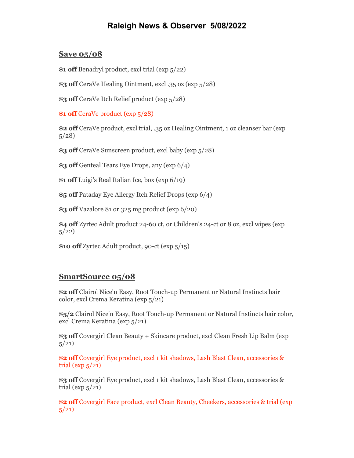## **Raleigh News & Observer 5/08/2022**

## **Save 05/08**

**\$1 off** Benadryl product, excl trial (exp 5/22)

**\$3 off** CeraVe Healing Ointment, excl .35 oz (exp 5/28)

**\$3 off** CeraVe Itch Relief product (exp 5/28)

**\$1 off** CeraVe product (exp 5/28)

**\$2 off** CeraVe product, excl trial, .35 oz Healing Ointment, 1 oz cleanser bar (exp 5/28)

**\$3 off** CeraVe Sunscreen product, excl baby (exp 5/28)

**\$3 off** Genteal Tears Eye Drops, any (exp 6/4)

**\$1 off** Luigi's Real Italian Ice, box (exp 6/19)

**\$5 off** Pataday Eye Allergy Itch Relief Drops (exp 6/4)

**\$3 off** Vazalore 81 or 325 mg product (exp 6/20)

**\$4 off** Zyrtec Adult product 24-60 ct, or Children's 24-ct or 8 oz, excl wipes (exp  $5/22)$ 

**\$10 off** Zyrtec Adult product, 90-ct (exp 5/15)

## **SmartSource 05/08**

**\$2 off** Clairol Nice'n Easy, Root Touch-up Permanent or Natural Instincts hair color, excl Crema Keratina (exp 5/21)

**\$5/2** Clairol Nice'n Easy, Root Touch-up Permanent or Natural Instincts hair color, excl Crema Keratina (exp 5/21)

**\$3 off** Covergirl Clean Beauty + Skincare product, excl Clean Fresh Lip Balm (exp 5/21)

**\$2 off** Covergirl Eye product, excl 1 kit shadows, Lash Blast Clean, accessories & trial ( $\exp 5/21$ )

**\$3 off** Covergirl Eye product, excl 1 kit shadows, Lash Blast Clean, accessories & trial ( $\exp(5/21)$ 

**\$2 off** Covergirl Face product, excl Clean Beauty, Cheekers, accessories & trial (exp  $5/21)$